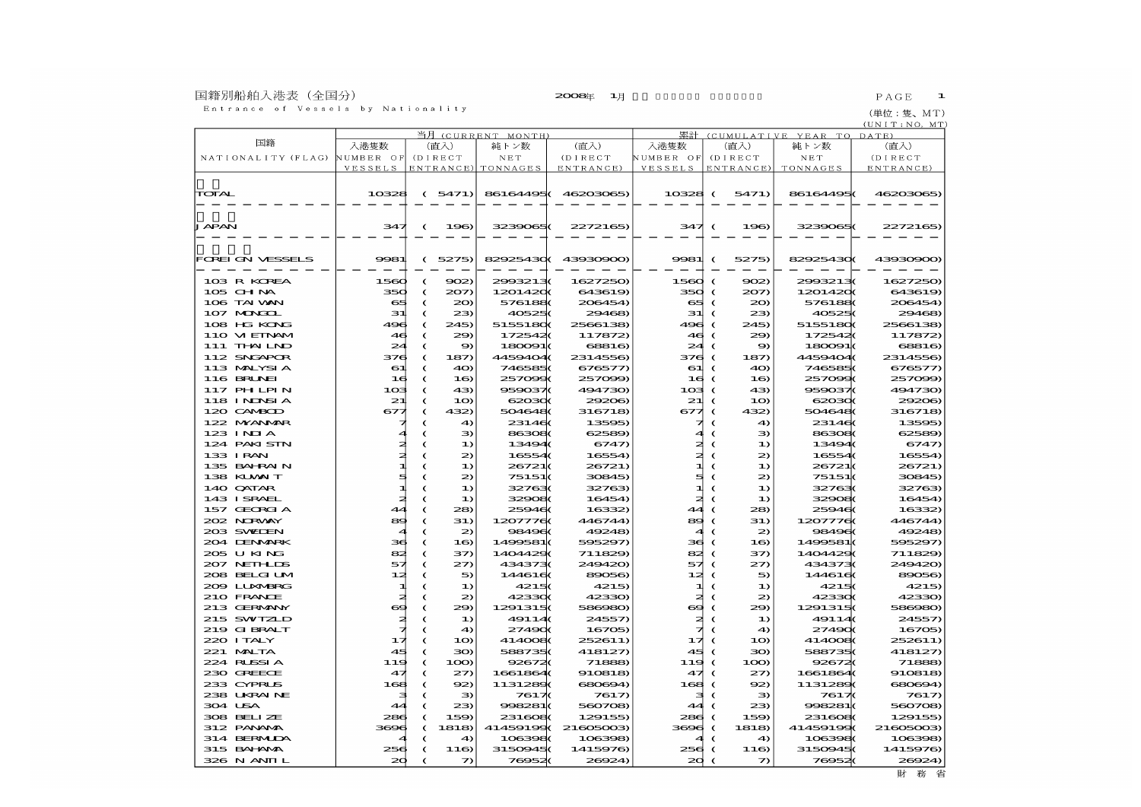## 国籍別船舶入港表(全国分)<br>- Entrance of Vessels by Nationality

(単位:隻、MT)<br><u>(UNIT:NO,MT</u>)

|                    | 当月<br>(CURRENT MONTH) |            |                 |                    |                    | 累計<br>(CUMULATIVE YEAR TO DATE) |            |                 |                 |           |  |  |
|--------------------|-----------------------|------------|-----------------|--------------------|--------------------|---------------------------------|------------|-----------------|-----------------|-----------|--|--|
| 国籍                 | 入港隻数                  |            | (直入)            | 純トン数               | (直入)               | 入港隻数                            |            | (直入)            | 純トン数            | (直入)      |  |  |
| NATIONALITY (FLAG) | NUMBER OF             |            | (DIRECT         | NET                | (D I RECT          | NUMBER OF                       |            | (D I RECT       | N E T           | (D I RECT |  |  |
|                    | VESSELS               |            |                 | ENTRANCE) TONNAGES | ENTRANCE)          | VESSELS                         |            | ENTRANCE)       | <b>TONNAGES</b> | ENTRANCE) |  |  |
|                    |                       |            |                 |                    |                    |                                 |            |                 |                 |           |  |  |
| TOTAL              | 10328                 |            | (5471)          | 861644950          | 46203065)          | $10328$ (                       |            | 5471)           | 86164495        | 46203065) |  |  |
|                    |                       |            |                 |                    |                    |                                 |            |                 |                 |           |  |  |
|                    |                       |            |                 |                    |                    |                                 |            |                 |                 |           |  |  |
| <b>JAPAN</b>       | 347                   | $\epsilon$ | 196             | 3239065(           | 2272165)           | 347 (                           |            | 196             | 3239065         | 2272165)  |  |  |
|                    |                       |            |                 |                    |                    |                                 |            |                 |                 |           |  |  |
|                    |                       |            |                 |                    |                    |                                 |            |                 |                 |           |  |  |
| FOREI GN VESSELS   | 9981                  | $\epsilon$ | 5275)           |                    | 82925430(43930900) | 9981                            | $\epsilon$ | 5275)           | 829254300       | 43930900) |  |  |
|                    |                       |            |                 |                    |                    |                                 |            |                 |                 |           |  |  |
| 103 R KOREA        | 1560                  | C          | 902             | 2993213(           | 1627250)           | $1560$ (                        |            | 902             | 2993213(        | 1627250)  |  |  |
| $105$ CHNA         | 350                   | $\epsilon$ | 207)            | 12014200           | 643619)            | 350                             | €          | 207             | 12014200        | 643619)   |  |  |
| 106 TAI VAN        | $\alpha$              | $\epsilon$ | 20)             | 5761880            | 206454)            | e≢                              | $\epsilon$ | $20 \,$         | 5761880         | 206454)   |  |  |
| 107 MONGOL         | 31                    | €          | 23              | 405250             | 29468)             | 31                              | $\epsilon$ | 23              | 405250          | 29468)    |  |  |
| 108 HG KONG        | 496                   | $\epsilon$ | 245)            | 51551800           | 2566138)           | 496                             | €          | 245)            | 51551800        | 2566138)  |  |  |
| 110 VIEINAM        | 46                    | $\epsilon$ | 29              | 1725420            | 117872             | 46.                             | €          | 29              | 1725420         | 117872    |  |  |
| $111$ THN LND      | $\mathbb{Z}$          | C          | 9               | 180091(            | 68816              | 24                              | €          | 9)              | 180091          | 68816     |  |  |
| 112 SNGAPOR        | 376                   | $\epsilon$ | 187             | 4459404(           | 2314556)           | 376                             | €          | 187)            | 4459404(        | 2314556)  |  |  |
| 113 MALYSIA        | 61                    | C          | 40)             | 746585(            | 676577)            | 61                              | ‹          | 4O)             | 746585(         | 676577)   |  |  |
| 116 BRUNEI         | 16                    | C          | 1 <sub>0</sub>  | 2570990            | 257099             | 16                              | €          | 1 <sub>0</sub>  | 2570990         | 257099)   |  |  |
| <b>117 PHLPIN</b>  | 103                   | C          | 43)             | 959037             | 494730)            | 103                             | €          | 43)             | 959037          | 494730)   |  |  |
| <b>118 INDSIA</b>  | 21                    | C          | 10              | 62030              | 29206              | 21                              | $\epsilon$ | 10              | 620300          | 29206)    |  |  |
| 120 CAMBOD         | $\mathbf{S}$          | $\epsilon$ | 432)            | 5046480            | 316718)            | $\mathbf{S}$                    | $\epsilon$ | 432)            | 5046480         | 316718)   |  |  |
| 122 MYANMAR        |                       | €          | 40              | 231460             | 13595)             |                                 | €          | 49              | 231460          | 13595)    |  |  |
| 123 INIA           |                       | C          | Э               | 863080             | 62589)             |                                 | €          | Э               | 863080          | 62589)    |  |  |
| 124 PAKI SIN       | ≇                     | C          | $\bf{1}$        | 13494(             | 6747               |                                 | €          | $\bf{1}$        | 134940          | 6747      |  |  |
| 133 I RAN          | ≉                     | C          | 2               | 16554(             | 165540             | 2t                              | $\epsilon$ | $\mathfrak{D}$  | 16554(          | 16554)    |  |  |
| 135 BAHRAIN        | п                     | C          | 1)              | 26721(             | 26721)             | 피                               | €          | 1)              | 26721(          | 26721)    |  |  |
| 138 KUWAIT         | 5                     | $\epsilon$ | 2               | 75151(             | 30845)             | ₫                               | $\epsilon$ | $\mathfrak{D}$  | 75151(          | 30845)    |  |  |
| 140 QATAR          | 1                     | C          | $\bf{1}$        | 327630             | 32763)             | 11                              | ‹          | 1)              | 327630          | 32763)    |  |  |
| 143 ISRAEL         | zł                    | $\epsilon$ | 1)              | 329080             | 16454)             | 2ŧ                              | $\epsilon$ | 1)              | 329080          | 16454)    |  |  |
| 157 GEORGIA        | 44                    | C          | 28              | 259460             | 16332)             | 44                              |            | 28              | 259460          | 16332     |  |  |
| 202 NRWY           | 89                    | C          | 31)             | 12077760           | 446744)            | 89                              | €          | 31)             | 12077760        | 446744)   |  |  |
| 203 SWIJEN         |                       | C          | 2               | 984960             | 49248)             |                                 |            | 2               | 984960          | 49248)    |  |  |
| 204 LENMARK        | зe                    | €          | 1 <sub>0</sub>  | 1499581(           | 595297)            | зв                              |            | 16)             | 1499581(        | 595297)   |  |  |
| 205 U KING         | 82                    | C          | 37)             | 14044290           | 711829             | 82                              | $\epsilon$ | အာ              | 14044290        | 711829    |  |  |
| 207 NEIHLIS        | 57                    | C          | 27)             | 4343730            | 249420)            | 57                              | €          | $\mathcal{Z}$   | 4343730         | 249420)   |  |  |
| 208 BELGI LM       | 12≵                   | $\epsilon$ | 5               | 1446160            | 89056)             | 12≵                             | $\epsilon$ | 5               | 1446160         | 89056)    |  |  |
| 2009 LUXABRG       |                       | C          | $\bf{1}$        | 42150              | 4215)              | 11                              | €          | $\bf{1}$        | 42150           | 4215)     |  |  |
| 210 FRANCE         | z.                    | $\epsilon$ | $\mathfrak{D}$  | 423300             | 42330)             | 2ŧ                              | $\epsilon$ | $\mathbf{z}$    | 423300          | 42330)    |  |  |
| 213 GERMANY        | 69                    | C          | 29              | 12913150           | 586980)            | ⇔                               | €          | 29              | 12913150        | 586980)   |  |  |
| 215 SWIZLD         | ≉                     | €          | $\bf{1}$        | 49114              | 24557)             | ≉                               | $\epsilon$ | $\bf{1}$        | 49114           | 24557)    |  |  |
| 219 GIBRALT        | ⊣                     | C          | $\triangleleft$ | 274900             | 16705              | ォ                               | €          | $\triangleleft$ | 274900          | 16705     |  |  |
| 220 ITALY          | 17                    | C          | 10              | 4140080            | 252611)            | ュオ                              | €          | 10              | 4140080         | 252611)   |  |  |
| 221 MALTA          | 45                    | C          | 30)             | 588735(            | 418127)            | 45                              |            | 30)             | 588735(         | 418127)   |  |  |
| 224 RUSSIA         | 119                   | C          | 100             | 926720             | 71888              | 119                             | €          | 100             | 926720          | 71888     |  |  |
| 230 GREECE         | 47                    | C          | 27              | 1661864(           | 910818             | 47                              | $\epsilon$ | 27              | 1661864         | 910818)   |  |  |
| 233 CYPRUS         | 168                   | $\epsilon$ | 92              | 11312890           | 680694)            | 168                             | $\epsilon$ | 92              | 11312890        | 680694)   |  |  |
| 238 UKRAINE        |                       | €          | Э               | 76170              | 7617               | з                               | $\epsilon$ | Э               | 76170           | 7617)     |  |  |
| 304 USA            | 4                     | €          | 23              | 998281(            | 560708)            | 44                              | €          | 23              | 998281          | 560708)   |  |  |
| 308 BELLZE         | 280                   | €          | 159             | 2316080            | 129155)            | 286                             | €          | 159             | 2316080         | 129155    |  |  |
| 312 PANAMA         | 3696                  | $\epsilon$ | 1818            | 414591990          | 21605003           | 3606                            | $\epsilon$ | 1818            | 414591990       | 21605003  |  |  |
| 314 BERMIDA        |                       | C          | $\triangleleft$ | 1063980            | 106398)            |                                 | $\epsilon$ | $\triangleleft$ | 1063980         | 106398    |  |  |
| 315 BAI NA         | 256                   | C          | 116             | 31509450           | 1415976)           | 256                             | €          | 116             | 31509450        | 1415976)  |  |  |
| 326 N ANII L       | 20                    | $\epsilon$ | つ               | 769520             | 26924)             | $\infty$                        | €          | つ               | 769520          | 26924)    |  |  |

財務省